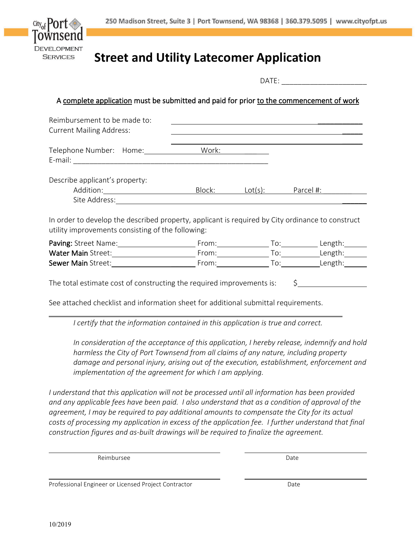

### **Street and Utility Latecomer Application**

|                                                                                                                                                                                                                                |  |                                                                                                                  |  |  | DATE: ________________________ |
|--------------------------------------------------------------------------------------------------------------------------------------------------------------------------------------------------------------------------------|--|------------------------------------------------------------------------------------------------------------------|--|--|--------------------------------|
| A complete application must be submitted and paid for prior to the commencement of work                                                                                                                                        |  |                                                                                                                  |  |  |                                |
| Reimbursement to be made to:<br><b>Current Mailing Address:</b>                                                                                                                                                                |  | and the control of the control of the control of the control of the control of the control of the control of the |  |  |                                |
| Telephone Number: Home: Work:                                                                                                                                                                                                  |  |                                                                                                                  |  |  |                                |
| Describe applicant's property:<br>Addition: <u>Netally Block:</u> Lot(s): Parcel #:                                                                                                                                            |  |                                                                                                                  |  |  |                                |
| In order to develop the described property, applicant is required by City ordinance to construct<br>utility improvements consisting of the following:                                                                          |  |                                                                                                                  |  |  |                                |
|                                                                                                                                                                                                                                |  |                                                                                                                  |  |  |                                |
| Water Main Street: 1990 Channel Contract Contract Contract Contract Contract Contract Contract Contract Contract Contract Contract Contract Contract Contract Contract Contract Contract Contract Contract Contract Contract C |  |                                                                                                                  |  |  |                                |
|                                                                                                                                                                                                                                |  |                                                                                                                  |  |  | From: To: Length:              |

The total estimate cost of constructing the required improvements is:  $\frac{1}{5}$ 

See attached checklist and information sheet for additional submittal requirements.

*I certify that the information contained in this application is true and correct.*

*In consideration of the acceptance of this application, I hereby release, indemnify and hold harmless the City of Port Townsend from all claims of any nature, including property damage and personal injury, arising out of the execution, establishment, enforcement and implementation of the agreement for which I am applying.*

*I understand that this application will not be processed until all information has been provided and any applicable fees have been paid. I also understand that as a condition of approval of the agreement, I may be required to pay additional amounts to compensate the City for its actual costs of processing my application in excess of the application fee. I further understand that final construction figures and as-built drawings will be required to finalize the agreement.* 

Reimbursee Date

Professional Engineer or Licensed Project Contractor **Date** Date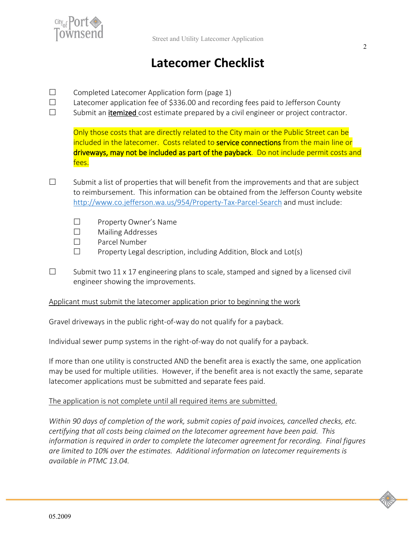

## **Latecomer Checklist**

- $\square$  Completed Latecomer Application form (page 1)
- $\Box$  Latecomer application fee of \$336.00 and recording fees paid to Jefferson County
- $\Box$  Submit an **itemized** cost estimate prepared by a civil engineer or project contractor.

Only those costs that are directly related to the City main or the Public Street can be included in the latecomer. Costs related to service connections from the main line or driveways, may not be included as part of the payback. Do not include permit costs and fees.

- $\square$  Submit a list of properties that will benefit from the improvements and that are subject to reimbursement. This information can be obtained from the Jefferson County website <http://www.co.jefferson.wa.us/954/Property-Tax-Parcel-Search> and must include:
	- □ Property Owner's Name
	- □ Mailing Addresses
	- □ Parcel Number
	- $\Box$  Property Legal description, including Addition, Block and Lot(s)
- $\square$  Submit two 11 x 17 engineering plans to scale, stamped and signed by a licensed civil engineer showing the improvements.

#### Applicant must submit the latecomer application prior to beginning the work

Gravel driveways in the public right-of-way do not qualify for a payback.

Individual sewer pump systems in the right-of-way do not qualify for a payback.

If more than one utility is constructed AND the benefit area is exactly the same, one application may be used for multiple utilities. However, if the benefit area is not exactly the same, separate latecomer applications must be submitted and separate fees paid.

#### The application is not complete until all required items are submitted.

*Within 90 days of completion of the work, submit copies of paid invoices, cancelled checks, etc. certifying that all costs being claimed on the latecomer agreement have been paid. This information is required in order to complete the latecomer agreement for recording. Final figures are limited to 10% over the estimates. Additional information on latecomer requirements is available in PTMC 13.04.*